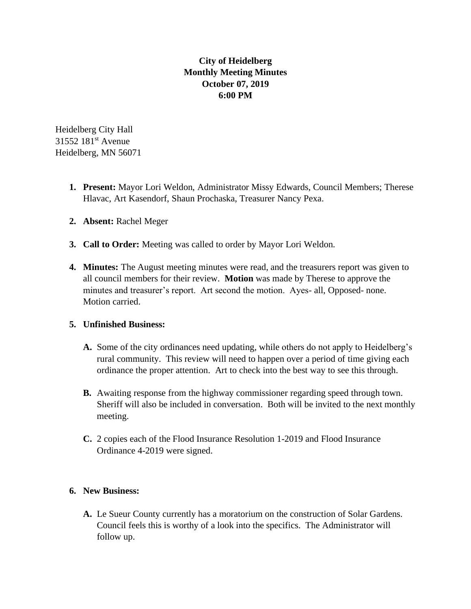## **City of Heidelberg Monthly Meeting Minutes October 07, 2019 6:00 PM**

Heidelberg City Hall 31552 181st Avenue Heidelberg, MN 56071

- **1. Present:** Mayor Lori Weldon, Administrator Missy Edwards, Council Members; Therese Hlavac, Art Kasendorf, Shaun Prochaska, Treasurer Nancy Pexa.
- **2. Absent:** Rachel Meger
- **3. Call to Order:** Meeting was called to order by Mayor Lori Weldon.
- **4. Minutes:** The August meeting minutes were read, and the treasurers report was given to all council members for their review. **Motion** was made by Therese to approve the minutes and treasurer's report. Art second the motion. Ayes- all, Opposed- none. Motion carried.

## **5. Unfinished Business:**

- **A.** Some of the city ordinances need updating, while others do not apply to Heidelberg's rural community. This review will need to happen over a period of time giving each ordinance the proper attention. Art to check into the best way to see this through.
- **B.** Awaiting response from the highway commissioner regarding speed through town. Sheriff will also be included in conversation. Both will be invited to the next monthly meeting.
- **C.** 2 copies each of the Flood Insurance Resolution 1-2019 and Flood Insurance Ordinance 4-2019 were signed.

## **6. New Business:**

**A.** Le Sueur County currently has a moratorium on the construction of Solar Gardens. Council feels this is worthy of a look into the specifics. The Administrator will follow up.